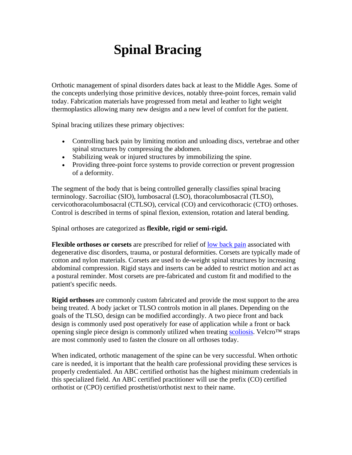## **Spinal Bracing**

Orthotic management of spinal disorders dates back at least to the Middle Ages. Some of the concepts underlying those primitive devices, notably three-point forces, remain valid today. Fabrication materials have progressed from metal and leather to light weight thermoplastics allowing many new designs and a new level of comfort for the patient.

Spinal bracing utilizes these primary objectives:

- Controlling back pain by limiting motion and unloading discs, vertebrae and other spinal structures by compressing the abdomen.
- Stabilizing weak or injured structures by immobilizing the spine.
- Providing three-point force systems to provide correction or prevent progression of a deformity.

The segment of the body that is being controlled generally classifies spinal bracing terminology. Sacroiliac (SIO), lumbosacral (LSO), thoracolumbosacral (TLSO), cervicothoracolumbosacral (CTLSO), cervical (CO) and cervicothoracic (CTO) orthoses. Control is described in terms of spinal flexion, extension, rotation and lateral bending.

Spinal orthoses are categorized as **flexible, rigid or semi-rigid.**

**Flexible orthoses or corsets** are prescribed for relief of [low back pain](http://www.spineuniverse.com/low-back-pain/condition-center/) associated with degenerative disc disorders, trauma, or postural deformities. Corsets are typically made of cotton and nylon materials. Corsets are used to de-weight spinal structures by increasing abdominal compression. Rigid stays and inserts can be added to restrict motion and act as a postural reminder. Most corsets are pre-fabricated and custom fit and modified to the patient's specific needs.

**Rigid orthoses** are commonly custom fabricated and provide the most support to the area being treated. A body jacket or TLSO controls motion in all planes. Depending on the goals of the TLSO, design can be modified accordingly. A two piece front and back design is commonly used post operatively for ease of application while a front or back opening single piece design is commonly utilized when treating [scoliosis](http://www.spineuniverse.com/scoliosis/condition-center/). Velcro™ straps are most commonly used to fasten the closure on all orthoses today.

When indicated, orthotic management of the spine can be very successful. When orthotic care is needed, it is important that the health care professional providing these services is properly credentialed. An ABC certified orthotist has the highest minimum credentials in this specialized field. An ABC certified practitioner will use the prefix (CO) certified orthotist or (CPO) certified prosthetist/orthotist next to their name.